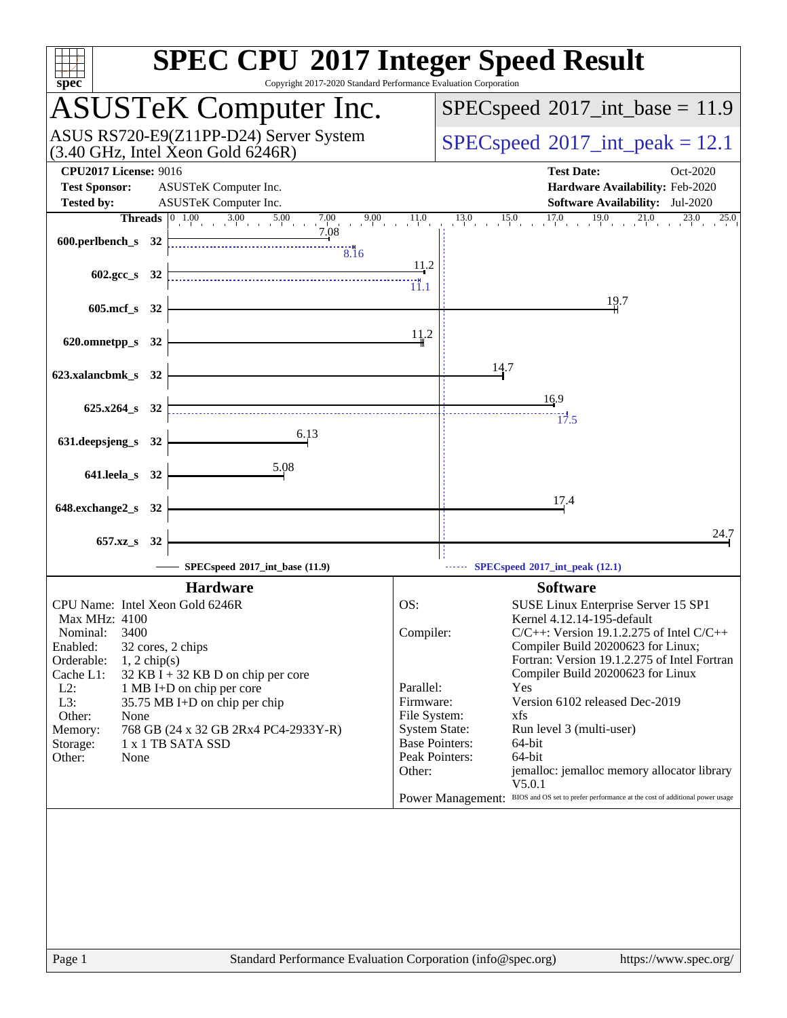| spec <sup>®</sup>                                                                                    |  | <b>SPEC CPU®2017 Integer Speed Result</b><br>Copyright 2017-2020 Standard Performance Evaluation Corporation |                                      |                                                                                               |
|------------------------------------------------------------------------------------------------------|--|--------------------------------------------------------------------------------------------------------------|--------------------------------------|-----------------------------------------------------------------------------------------------|
|                                                                                                      |  | <b>ASUSTeK Computer Inc.</b>                                                                                 |                                      | $SPEC speed^{\circ}2017\_int\_base = 11.9$                                                    |
| ASUS RS720-E9(Z11PP-D24) Server System<br>$(3.40 \text{ GHz}, \text{Intel Xeon Gold } 6246\text{R})$ |  |                                                                                                              |                                      | $SPEC speed^{\circ}2017\_int\_peak = 12.1$                                                    |
| <b>CPU2017 License: 9016</b>                                                                         |  |                                                                                                              |                                      | <b>Test Date:</b><br>Oct-2020                                                                 |
| <b>Test Sponsor:</b>                                                                                 |  | ASUSTeK Computer Inc.                                                                                        |                                      | Hardware Availability: Feb-2020                                                               |
| <b>Tested by:</b>                                                                                    |  | ASUSTeK Computer Inc.                                                                                        |                                      | <b>Software Availability:</b> Jul-2020                                                        |
| <b>Threads</b>                                                                                       |  | $\frac{0.00}{1}$ 3.00 5.00<br> 0 1.00<br>$7.00$ 9.00 $11.0$<br>7.08                                          |                                      | $17.0$ $19.0$ $21.0$<br>$13.0$ $15.0$<br>$^{23.0}$<br>25.0                                    |
| 600.perlbench_s 32                                                                                   |  | 8.16                                                                                                         |                                      |                                                                                               |
| 602.gcc_s 32                                                                                         |  |                                                                                                              | 11.2<br>$\dddot{1}^{\text{H}}_{1.1}$ |                                                                                               |
| 605.mcf_s 32                                                                                         |  |                                                                                                              |                                      | 19.7                                                                                          |
| 620.omnetpp_s 32                                                                                     |  |                                                                                                              | 11.2                                 |                                                                                               |
| 623.xalancbmk_s 32                                                                                   |  |                                                                                                              |                                      | 14.7                                                                                          |
| 625.x264 s 32                                                                                        |  |                                                                                                              |                                      | 16.9                                                                                          |
| 631.deepsjeng_s 32                                                                                   |  | 6.13                                                                                                         |                                      | 17.5                                                                                          |
| 641.leela_s 32                                                                                       |  | 5.08                                                                                                         |                                      |                                                                                               |
|                                                                                                      |  |                                                                                                              |                                      | 17.4                                                                                          |
| 648.exchange2_s 32                                                                                   |  |                                                                                                              |                                      |                                                                                               |
| 657.xz_s 32                                                                                          |  |                                                                                                              |                                      | 24.7                                                                                          |
|                                                                                                      |  | SPECspeed®2017_int_base (11.9)                                                                               |                                      | SPECspeed®2017_int_peak (12.1)                                                                |
|                                                                                                      |  | <b>Hardware</b>                                                                                              |                                      | <b>Software</b>                                                                               |
| CPU Name: Intel Xeon Gold 6246R                                                                      |  |                                                                                                              | OS:                                  | SUSE Linux Enterprise Server 15 SP1                                                           |
| Max MHz: 4100<br>3400                                                                                |  |                                                                                                              | Compiler:                            | Kernel 4.12.14-195-default<br>$C/C++$ : Version 19.1.2.275 of Intel $C/C++$                   |
| Nominal:<br>Enabled:                                                                                 |  | 32 cores, 2 chips                                                                                            |                                      | Compiler Build 20200623 for Linux;                                                            |
| Orderable:<br>$1, 2$ chip(s)                                                                         |  |                                                                                                              |                                      | Fortran: Version 19.1.2.275 of Intel Fortran                                                  |
| Cache L1:                                                                                            |  | $32$ KB I + 32 KB D on chip per core                                                                         |                                      | Compiler Build 20200623 for Linux                                                             |
| $L2$ :<br>L3:                                                                                        |  | 1 MB I+D on chip per core<br>35.75 MB I+D on chip per chip                                                   | Parallel:<br>Firmware:               | Yes<br>Version 6102 released Dec-2019                                                         |
| Other:<br>None                                                                                       |  |                                                                                                              | File System:                         | xfs                                                                                           |
| Memory:                                                                                              |  | 768 GB (24 x 32 GB 2Rx4 PC4-2933Y-R)                                                                         | <b>System State:</b>                 | Run level 3 (multi-user)                                                                      |
| Storage:<br>Other:<br>None                                                                           |  | 1 x 1 TB SATA SSD                                                                                            |                                      | <b>Base Pointers:</b><br>64-bit<br>Peak Pointers:<br>64-bit                                   |
|                                                                                                      |  |                                                                                                              | Other:                               | jemalloc: jemalloc memory allocator library                                                   |
|                                                                                                      |  |                                                                                                              |                                      | V5.0.1                                                                                        |
|                                                                                                      |  |                                                                                                              |                                      | Power Management: BIOS and OS set to prefer performance at the cost of additional power usage |
|                                                                                                      |  |                                                                                                              |                                      |                                                                                               |
|                                                                                                      |  |                                                                                                              |                                      |                                                                                               |
|                                                                                                      |  |                                                                                                              |                                      |                                                                                               |
|                                                                                                      |  |                                                                                                              |                                      |                                                                                               |
|                                                                                                      |  |                                                                                                              |                                      |                                                                                               |
|                                                                                                      |  |                                                                                                              |                                      |                                                                                               |
|                                                                                                      |  |                                                                                                              |                                      |                                                                                               |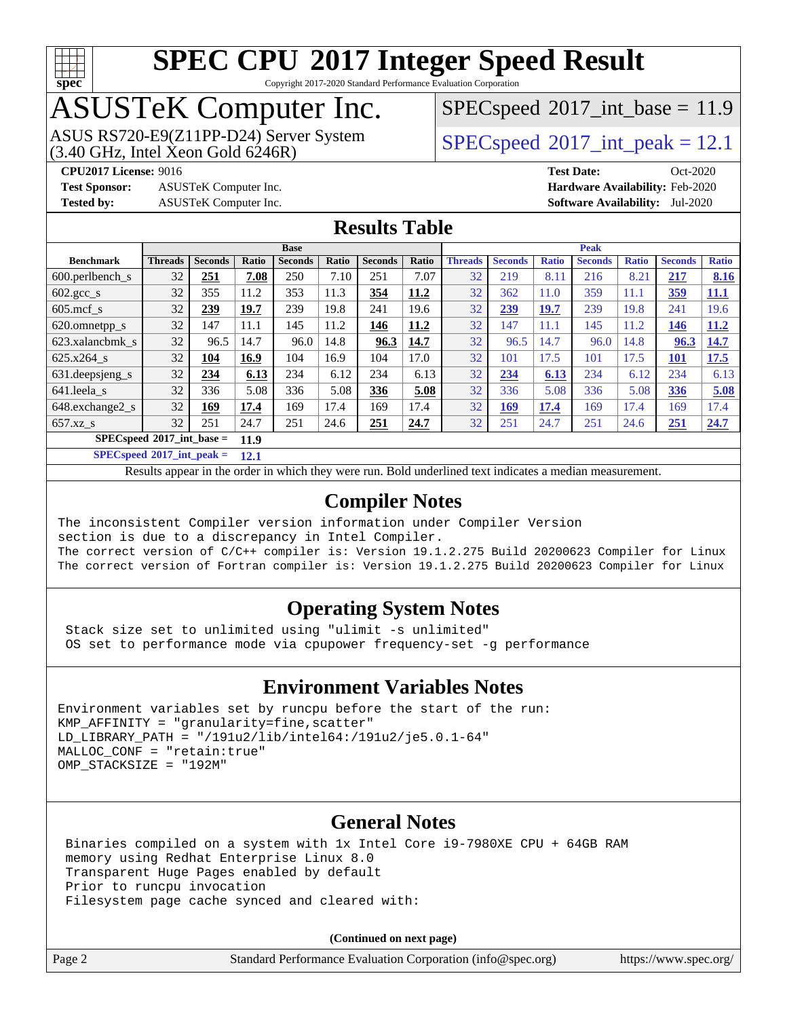

Copyright 2017-2020 Standard Performance Evaluation Corporation

# ASUSTeK Computer Inc.

ASUS RS720-E9(Z11PP-D24) Server System  $(3.40 \text{ GHz}, \text{ Intel Xeon Gold } 6246\text{R})$   $\big| \text{ SPECspeed}^{\circledR} 2017 \text{ int\_peak} = 12.1$  $\big| \text{ SPECspeed}^{\circledR} 2017 \text{ int\_peak} = 12.1$  $\big| \text{ SPECspeed}^{\circledR} 2017 \text{ int\_peak} = 12.1$ 

 $SPECspeed^{\circ}2017\_int\_base = 11.9$  $SPECspeed^{\circ}2017\_int\_base = 11.9$ 

**[Test Sponsor:](http://www.spec.org/auto/cpu2017/Docs/result-fields.html#TestSponsor)** ASUSTeK Computer Inc. **[Hardware Availability:](http://www.spec.org/auto/cpu2017/Docs/result-fields.html#HardwareAvailability)** Feb-2020 **[Tested by:](http://www.spec.org/auto/cpu2017/Docs/result-fields.html#Testedby)** ASUSTeK Computer Inc. **[Software Availability:](http://www.spec.org/auto/cpu2017/Docs/result-fields.html#SoftwareAvailability)** Jul-2020

**[CPU2017 License:](http://www.spec.org/auto/cpu2017/Docs/result-fields.html#CPU2017License)** 9016 **[Test Date:](http://www.spec.org/auto/cpu2017/Docs/result-fields.html#TestDate)** Oct-2020

### **[Results Table](http://www.spec.org/auto/cpu2017/Docs/result-fields.html#ResultsTable)**

|                                     | <b>Base</b>    |                |       |                |       | <b>Peak</b>    |              |                |                |              |                |              |                   |              |
|-------------------------------------|----------------|----------------|-------|----------------|-------|----------------|--------------|----------------|----------------|--------------|----------------|--------------|-------------------|--------------|
| <b>Benchmark</b>                    | <b>Threads</b> | <b>Seconds</b> | Ratio | <b>Seconds</b> | Ratio | <b>Seconds</b> | <b>Ratio</b> | <b>Threads</b> | <b>Seconds</b> | <b>Ratio</b> | <b>Seconds</b> | <b>Ratio</b> | <b>Seconds</b>    | <b>Ratio</b> |
| $600.$ perlbench s                  | 32             | 251            | 7.08  | 250            | 7.10  | 251            | 7.07         | 32             | 219            | 8.11         | 216            | 8.21         | 217               | 8.16         |
| $602.\text{gcc}\_\text{s}$          | 32             | 355            | 11.2  | 353            | 11.3  | 354            | <u>11.2</u>  | 32             | 362            | 11.0         | 359            | 11.1         | <u>359</u>        | <u>11.1</u>  |
| $605$ .mcf s                        | 32             | 239            | 19.7  | 239            | 19.8  | 241            | 19.6         | 32             | 239            | <u>19.7</u>  | 239            | 19.8         | 241               | 19.6         |
| 620.omnetpp_s                       | 32             | 147            | 11.1  | 145            | 11.2  | 146            | 11.2         | 32             | 147            | 11.1         | 145            | 11.2         | <u> 146</u>       | 11.2         |
| 623.xalancbmk s                     | 32             | 96.5           | 14.7  | 96.0           | 14.8  | 96.3           | 14.7         | 32             | 96.5           | 14.7         | 96.0           | 14.8         | 96.3              | 14.7         |
| 625.x264 s                          | 32             | 104            | 16.9  | 104            | 16.9  | 104            | 17.0         | 32             | 101            | 17.5         | 101            | 17.5         | $\underline{101}$ | 17.5         |
| 631.deepsjeng_s                     | 32             | 234            | 6.13  | 234            | 6.12  | 234            | 6.13         | 32             | 234            | 6.13         | 234            | 6.12         | 234               | 6.13         |
| 641.leela s                         | 32             | 336            | 5.08  | 336            | 5.08  | 336            | 5.08         | 32             | 336            | 5.08         | 336            | 5.08         | 336               | 5.08         |
| 648.exchange2 s                     | 32             | 169            | 17.4  | 169            | 17.4  | 169            | 17.4         | 32             | <u>169</u>     | 17.4         | 169            | 17.4         | 169               | 17.4         |
| $657.xz$ s                          | 32             | 251            | 24.7  | 251            | 24.6  | 251            | 24.7         | 32             | 251            | 24.7         | 251            | 24.6         | 251               | 24.7         |
| $SPECspeed*2017$ int base =<br>11.9 |                |                |       |                |       |                |              |                |                |              |                |              |                   |              |

**[SPECspeed](http://www.spec.org/auto/cpu2017/Docs/result-fields.html#SPECspeed2017intpeak)[2017\\_int\\_peak =](http://www.spec.org/auto/cpu2017/Docs/result-fields.html#SPECspeed2017intpeak) 12.1**

Results appear in the [order in which they were run.](http://www.spec.org/auto/cpu2017/Docs/result-fields.html#RunOrder) Bold underlined text [indicates a median measurement](http://www.spec.org/auto/cpu2017/Docs/result-fields.html#Median).

### **[Compiler Notes](http://www.spec.org/auto/cpu2017/Docs/result-fields.html#CompilerNotes)**

The inconsistent Compiler version information under Compiler Version section is due to a discrepancy in Intel Compiler. The correct version of C/C++ compiler is: Version 19.1.2.275 Build 20200623 Compiler for Linux The correct version of Fortran compiler is: Version 19.1.2.275 Build 20200623 Compiler for Linux

### **[Operating System Notes](http://www.spec.org/auto/cpu2017/Docs/result-fields.html#OperatingSystemNotes)**

 Stack size set to unlimited using "ulimit -s unlimited" OS set to performance mode via cpupower frequency-set -g performance

### **[Environment Variables Notes](http://www.spec.org/auto/cpu2017/Docs/result-fields.html#EnvironmentVariablesNotes)**

```
Environment variables set by runcpu before the start of the run:
KMP AFFINITY = "granularity=fine, scatter"
LD_LIBRARY_PATH = "/191u2/lib/intel64:/191u2/je5.0.1-64"
MALLOC_CONF = "retain:true"
OMP_STACKSIZE = "192M"
```
### **[General Notes](http://www.spec.org/auto/cpu2017/Docs/result-fields.html#GeneralNotes)**

 Binaries compiled on a system with 1x Intel Core i9-7980XE CPU + 64GB RAM memory using Redhat Enterprise Linux 8.0 Transparent Huge Pages enabled by default Prior to runcpu invocation Filesystem page cache synced and cleared with:

**(Continued on next page)**

|  | age 2 |  |
|--|-------|--|
|--|-------|--|

Page 2 Standard Performance Evaluation Corporation [\(info@spec.org\)](mailto:info@spec.org) <https://www.spec.org/>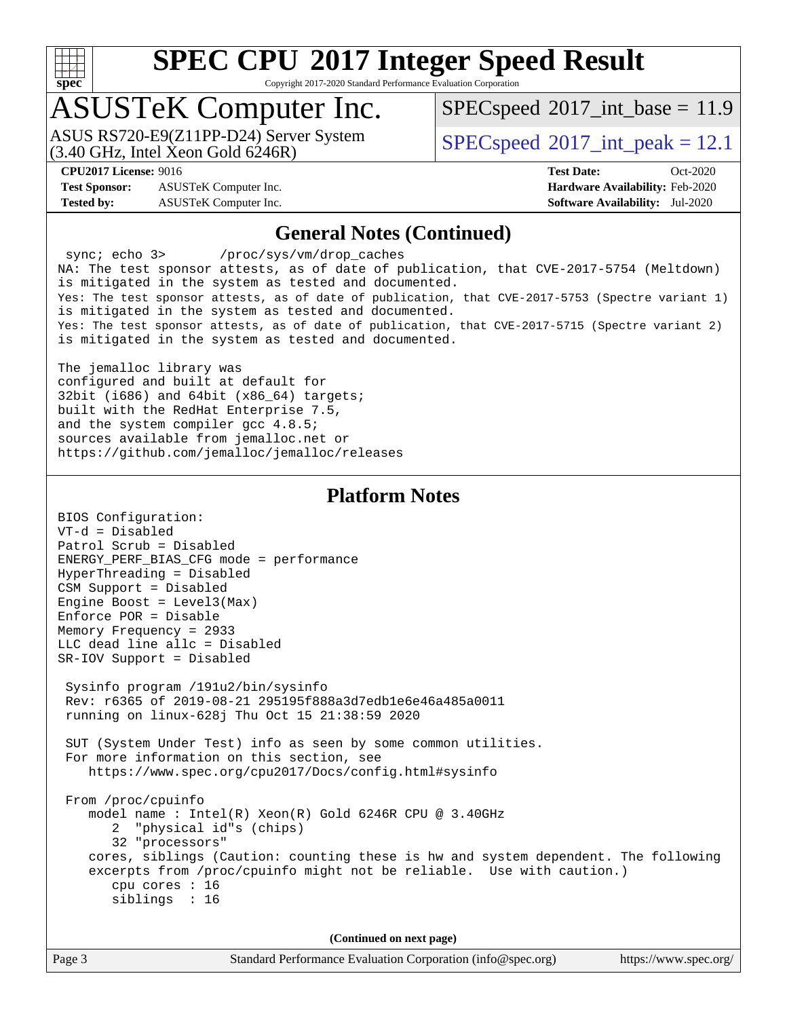

Copyright 2017-2020 Standard Performance Evaluation Corporation

## ASUSTeK Computer Inc.

(3.40 GHz, Intel Xeon Gold 6246R) ASUS RS720-E9(Z11PP-D24) Server System  $SPECspeed@2017$  $SPECspeed@2017$  int\_peak = 12.1

 $SPECspeed^{\circ}2017\_int\_base = 11.9$  $SPECspeed^{\circ}2017\_int\_base = 11.9$ 

**[Test Sponsor:](http://www.spec.org/auto/cpu2017/Docs/result-fields.html#TestSponsor)** ASUSTeK Computer Inc. **[Hardware Availability:](http://www.spec.org/auto/cpu2017/Docs/result-fields.html#HardwareAvailability)** Feb-2020 **[Tested by:](http://www.spec.org/auto/cpu2017/Docs/result-fields.html#Testedby)** ASUSTeK Computer Inc. **[Software Availability:](http://www.spec.org/auto/cpu2017/Docs/result-fields.html#SoftwareAvailability)** Jul-2020

**[CPU2017 License:](http://www.spec.org/auto/cpu2017/Docs/result-fields.html#CPU2017License)** 9016 **[Test Date:](http://www.spec.org/auto/cpu2017/Docs/result-fields.html#TestDate)** Oct-2020

#### **[General Notes \(Continued\)](http://www.spec.org/auto/cpu2017/Docs/result-fields.html#GeneralNotes)**

 sync; echo 3> /proc/sys/vm/drop\_caches NA: The test sponsor attests, as of date of publication, that CVE-2017-5754 (Meltdown) is mitigated in the system as tested and documented. Yes: The test sponsor attests, as of date of publication, that CVE-2017-5753 (Spectre variant 1) is mitigated in the system as tested and documented. Yes: The test sponsor attests, as of date of publication, that CVE-2017-5715 (Spectre variant 2) is mitigated in the system as tested and documented.

The jemalloc library was configured and built at default for 32bit (i686) and 64bit (x86\_64) targets; built with the RedHat Enterprise 7.5, and the system compiler gcc 4.8.5; sources available from jemalloc.net or <https://github.com/jemalloc/jemalloc/releases>

### **[Platform Notes](http://www.spec.org/auto/cpu2017/Docs/result-fields.html#PlatformNotes)**

| BIOS Configuration:                                                                                                                                                                                                                  |
|--------------------------------------------------------------------------------------------------------------------------------------------------------------------------------------------------------------------------------------|
| $VT-d = Disabled$                                                                                                                                                                                                                    |
| Patrol Scrub = Disabled                                                                                                                                                                                                              |
| ENERGY_PERF_BIAS_CFG mode = performance                                                                                                                                                                                              |
| HyperThreading = Disabled                                                                                                                                                                                                            |
| CSM Support = Disabled                                                                                                                                                                                                               |
| Engine Boost = $Level3(Max)$                                                                                                                                                                                                         |
| $Enforce POR = Disable$                                                                                                                                                                                                              |
| Memory Frequency = 2933                                                                                                                                                                                                              |
| LLC dead line allc = Disabled                                                                                                                                                                                                        |
| SR-IOV Support = Disabled                                                                                                                                                                                                            |
| Sysinfo program /191u2/bin/sysinfo<br>Rev: r6365 of 2019-08-21 295195f888a3d7edb1e6e46a485a0011<br>running on $\text{linux}-628\text{ i}$ Thu Oct 15 21:38:59 2020<br>SUT (System Under Test) info as seen by some common utilities. |
| For more information on this section, see<br>https://www.spec.org/cpu2017/Docs/config.html#sysinfo                                                                                                                                   |
| From /proc/cpuinfo<br>model name: $Intel(R)$ Xeon(R) Gold 6246R CPU @ 3.40GHz<br>2 "physical id"s (chips)<br>32 "processors"                                                                                                         |
| cores, siblings (Caution: counting these is hw and system dependent. The following<br>excerpts from /proc/cpuinfo might not be reliable. Use with caution.)<br>cpu cores $: 16$<br>siblings : 16                                     |
| (Continued on next page)                                                                                                                                                                                                             |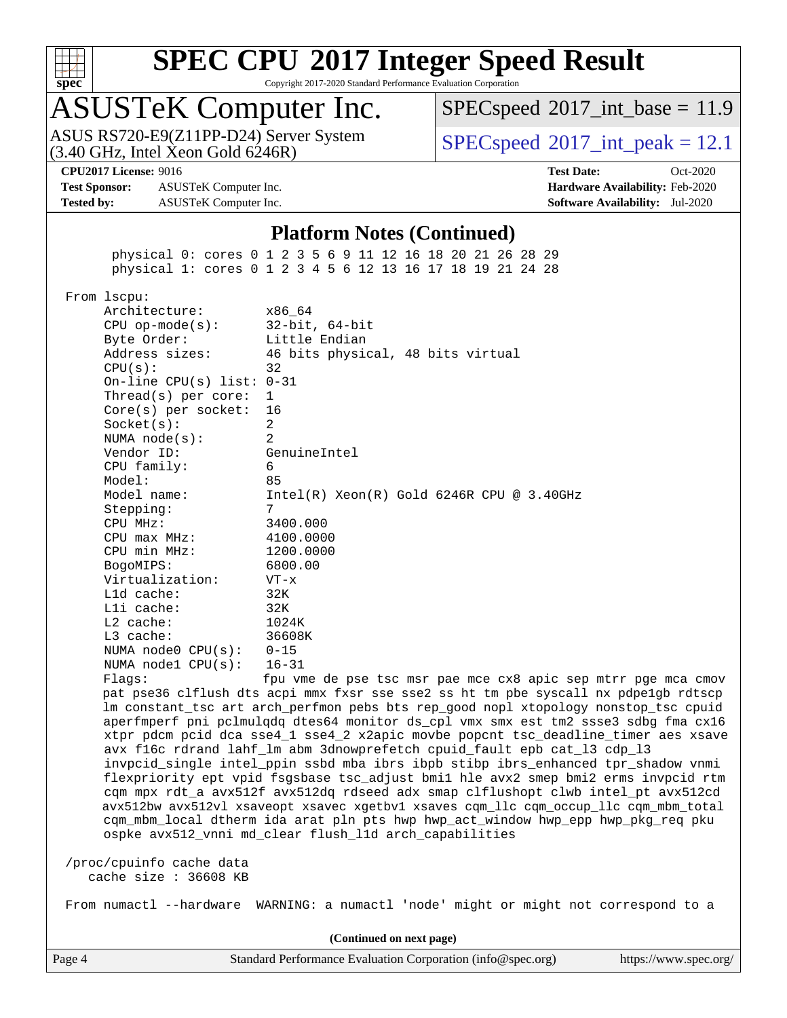

Copyright 2017-2020 Standard Performance Evaluation Corporation

## ASUSTeK Computer Inc.

 $(3.40 \text{ GHz}, \text{Intel Xeon Gold } 6246\text{R})$ ASUS RS720-E9(Z11PP-D24) Server System  $SPECspeed@2017$  $SPECspeed@2017$  int\_peak = 12.1

 $SPECspeed^{\circ}2017\_int\_base = 11.9$  $SPECspeed^{\circ}2017\_int\_base = 11.9$ 

**[Test Sponsor:](http://www.spec.org/auto/cpu2017/Docs/result-fields.html#TestSponsor)** ASUSTeK Computer Inc. **[Hardware Availability:](http://www.spec.org/auto/cpu2017/Docs/result-fields.html#HardwareAvailability)** Feb-2020 **[Tested by:](http://www.spec.org/auto/cpu2017/Docs/result-fields.html#Testedby)** ASUSTeK Computer Inc. **[Software Availability:](http://www.spec.org/auto/cpu2017/Docs/result-fields.html#SoftwareAvailability)** Jul-2020

**[CPU2017 License:](http://www.spec.org/auto/cpu2017/Docs/result-fields.html#CPU2017License)** 9016 **[Test Date:](http://www.spec.org/auto/cpu2017/Docs/result-fields.html#TestDate)** Oct-2020

### **[Platform Notes \(Continued\)](http://www.spec.org/auto/cpu2017/Docs/result-fields.html#PlatformNotes)**

 physical 0: cores 0 1 2 3 5 6 9 11 12 16 18 20 21 26 28 29 physical 1: cores 0 1 2 3 4 5 6 12 13 16 17 18 19 21 24 28

From lscpu:

| Architecture:                    | x86 64                                                                               |
|----------------------------------|--------------------------------------------------------------------------------------|
| CPU $op-mode(s):$ 32-bit, 64-bit |                                                                                      |
| Byte Order:                      | Little Endian                                                                        |
|                                  | Address sizes: 46 bits physical, 48 bits virtual                                     |
| CPU(s):                          | 32                                                                                   |
| On-line CPU(s) list: $0-31$      |                                                                                      |
| Thread(s) per core: $1$          |                                                                                      |
| $Core(s)$ per socket: 16         |                                                                                      |
| Socket(s):                       | 2                                                                                    |
| NUMA node(s):                    | 2                                                                                    |
| Vendor ID:                       | GenuineIntel                                                                         |
| CPU family:                      | 6                                                                                    |
| Model:                           | 85                                                                                   |
| Model name:                      | $Intel(R) Xeon(R) Gold 6246R CPU @ 3.40GHz$                                          |
| Stepping:                        | 7                                                                                    |
| CPU MHz:                         | 3400.000                                                                             |
| $CPU$ $max$ $MHz$ :              | 4100.0000                                                                            |
| CPU min MHz: 1200.0000           |                                                                                      |
| BogoMIPS:                        | 6800.00                                                                              |
| Virtualization: VT-x             |                                                                                      |
| $L1d$ cache:                     | 32K                                                                                  |
| $L1i$ cache:                     | 32K                                                                                  |
| L2 cache:                        | 1024K                                                                                |
| L3 cache:                        | 36608K                                                                               |
| NUMA node0 $CPU(s): 0-15$        |                                                                                      |
| NUMA nodel $CPU(s): 16-31$       |                                                                                      |
|                                  | $F1200$ frue $F1200$ and $F1200$ and $F1200$ method $F1200$ and $F1200$ from $F1200$ |

Flags: fpu vme de pse tsc msr pae mce cx8 apic sep mtrr pge mca cmov pat pse36 clflush dts acpi mmx fxsr sse sse2 ss ht tm pbe syscall nx pdpe1gb rdtscp lm constant\_tsc art arch\_perfmon pebs bts rep\_good nopl xtopology nonstop\_tsc cpuid aperfmperf pni pclmulqdq dtes64 monitor ds\_cpl vmx smx est tm2 ssse3 sdbg fma cx16 xtpr pdcm pcid dca sse4\_1 sse4\_2 x2apic movbe popcnt tsc\_deadline\_timer aes xsave avx f16c rdrand lahf\_lm abm 3dnowprefetch cpuid\_fault epb cat\_l3 cdp\_l3 invpcid\_single intel\_ppin ssbd mba ibrs ibpb stibp ibrs\_enhanced tpr\_shadow vnmi flexpriority ept vpid fsgsbase tsc\_adjust bmi1 hle avx2 smep bmi2 erms invpcid rtm cqm mpx rdt\_a avx512f avx512dq rdseed adx smap clflushopt clwb intel\_pt avx512cd avx512bw avx512vl xsaveopt xsavec xgetbv1 xsaves cqm\_llc cqm\_occup\_llc cqm\_mbm\_total cqm\_mbm\_local dtherm ida arat pln pts hwp hwp\_act\_window hwp\_epp hwp\_pkg\_req pku ospke avx512\_vnni md\_clear flush\_l1d arch\_capabilities

 /proc/cpuinfo cache data cache size : 36608 KB

From numactl --hardware WARNING: a numactl 'node' might or might not correspond to a

**(Continued on next page)**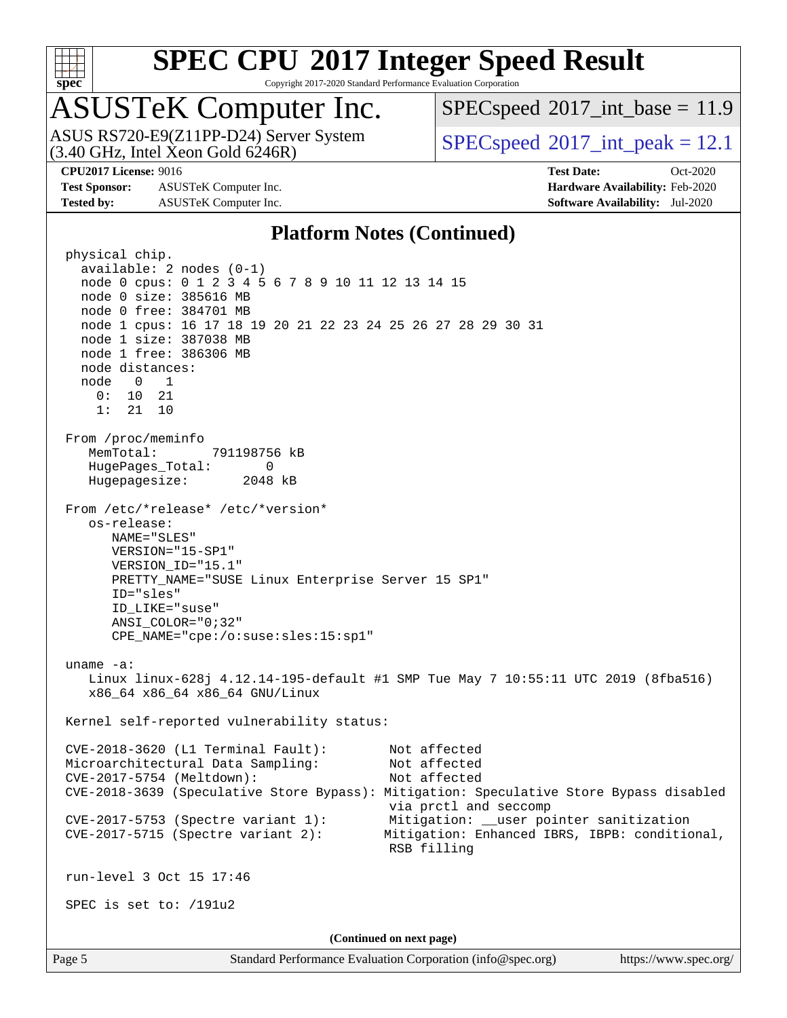

Copyright 2017-2020 Standard Performance Evaluation Corporation

# ASUSTeK Computer Inc.

ASUS RS720-E9(Z11PP-D24) Server System<br>(3.40 GHz, Intel Xeon Gold 6246R)

 $SPECspeed^{\circ}2017\_int\_base = 11.9$  $SPECspeed^{\circ}2017\_int\_base = 11.9$ 

 $SPECspeed^{\circ}2017\_int\_peak = 12.1$  $SPECspeed^{\circ}2017\_int\_peak = 12.1$ 

**[Test Sponsor:](http://www.spec.org/auto/cpu2017/Docs/result-fields.html#TestSponsor)** ASUSTeK Computer Inc. **[Hardware Availability:](http://www.spec.org/auto/cpu2017/Docs/result-fields.html#HardwareAvailability)** Feb-2020 **[Tested by:](http://www.spec.org/auto/cpu2017/Docs/result-fields.html#Testedby)** ASUSTeK Computer Inc. **[Software Availability:](http://www.spec.org/auto/cpu2017/Docs/result-fields.html#SoftwareAvailability)** Jul-2020

**[CPU2017 License:](http://www.spec.org/auto/cpu2017/Docs/result-fields.html#CPU2017License)** 9016 **[Test Date:](http://www.spec.org/auto/cpu2017/Docs/result-fields.html#TestDate)** Oct-2020

### **[Platform Notes \(Continued\)](http://www.spec.org/auto/cpu2017/Docs/result-fields.html#PlatformNotes)**

 physical chip. available: 2 nodes (0-1) node 0 cpus: 0 1 2 3 4 5 6 7 8 9 10 11 12 13 14 15 node 0 size: 385616 MB node 0 free: 384701 MB node 1 cpus: 16 17 18 19 20 21 22 23 24 25 26 27 28 29 30 31 node 1 size: 387038 MB node 1 free: 386306 MB node distances: node 0 1 0: 10 21 1: 21 10 From /proc/meminfo MemTotal: 791198756 kB HugePages\_Total: 0 Hugepagesize: 2048 kB From /etc/\*release\* /etc/\*version\* os-release: NAME="SLES" VERSION="15-SP1" VERSION\_ID="15.1" PRETTY\_NAME="SUSE Linux Enterprise Server 15 SP1" ID="sles" ID\_LIKE="suse" ANSI\_COLOR="0;32" CPE\_NAME="cpe:/o:suse:sles:15:sp1" uname -a: Linux linux-628j 4.12.14-195-default #1 SMP Tue May 7 10:55:11 UTC 2019 (8fba516) x86\_64 x86\_64 x86\_64 GNU/Linux Kernel self-reported vulnerability status: CVE-2018-3620 (L1 Terminal Fault): Not affected Microarchitectural Data Sampling: Not affected CVE-2017-5754 (Meltdown): Not affected CVE-2018-3639 (Speculative Store Bypass): Mitigation: Speculative Store Bypass disabled via prctl and seccomp CVE-2017-5753 (Spectre variant 1): Mitigation: \_\_user pointer sanitization CVE-2017-5715 (Spectre variant 2): Mitigation: Enhanced IBRS, IBPB: conditional, RSB filling run-level 3 Oct 15 17:46 SPEC is set to: /191u2 **(Continued on next page)**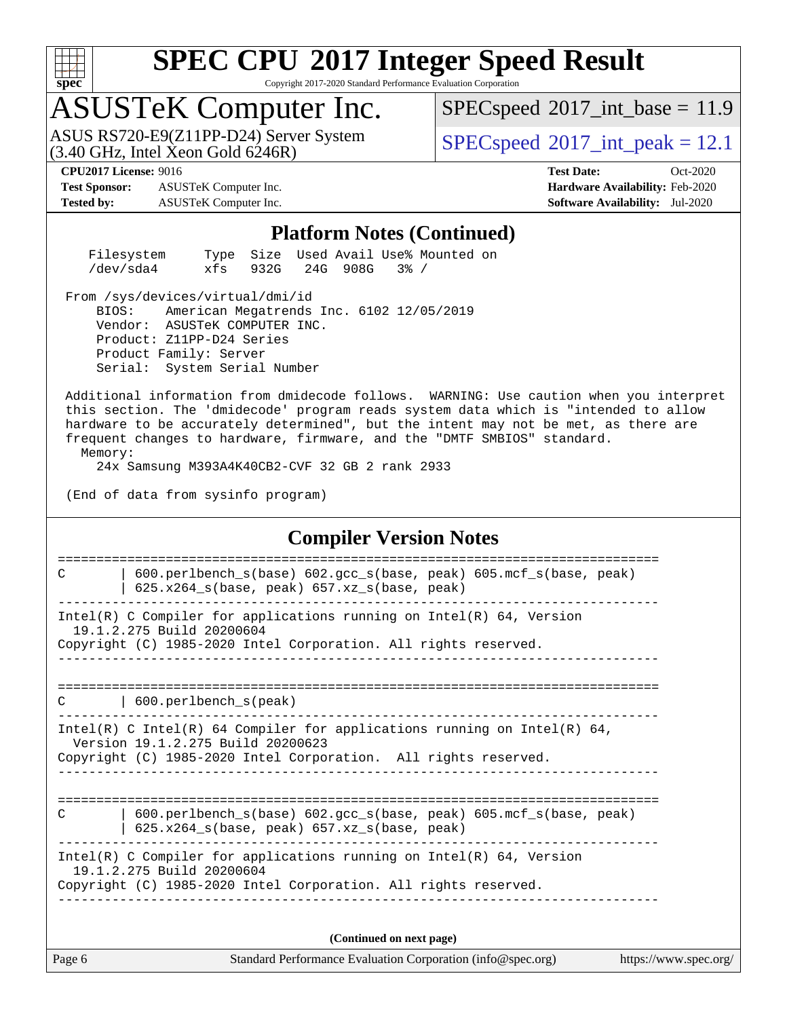

Copyright 2017-2020 Standard Performance Evaluation Corporation

## ASUSTeK Computer Inc.

 $(3.40 \text{ GHz}, \text{Intel } \hat{\text{X}}$ con Gold 6246R) ASUS RS720-E9(Z11PP-D24) Server System  $SPEC speed^{\circ}2017$  int\_peak = 12.1

 $SPECspeed^{\circ}2017\_int\_base = 11.9$  $SPECspeed^{\circ}2017\_int\_base = 11.9$ 

**[Test Sponsor:](http://www.spec.org/auto/cpu2017/Docs/result-fields.html#TestSponsor)** ASUSTeK Computer Inc. **[Hardware Availability:](http://www.spec.org/auto/cpu2017/Docs/result-fields.html#HardwareAvailability)** Feb-2020 **[Tested by:](http://www.spec.org/auto/cpu2017/Docs/result-fields.html#Testedby)** ASUSTeK Computer Inc. **[Software Availability:](http://www.spec.org/auto/cpu2017/Docs/result-fields.html#SoftwareAvailability)** Jul-2020

**[CPU2017 License:](http://www.spec.org/auto/cpu2017/Docs/result-fields.html#CPU2017License)** 9016 **[Test Date:](http://www.spec.org/auto/cpu2017/Docs/result-fields.html#TestDate)** Oct-2020

#### **[Platform Notes \(Continued\)](http://www.spec.org/auto/cpu2017/Docs/result-fields.html#PlatformNotes)**

| Filesystem |                        |  | Type Size Used Avail Use% Mounted on |  |
|------------|------------------------|--|--------------------------------------|--|
| /dev/sda4  | xfs 932G 24G 908G 3% / |  |                                      |  |

From /sys/devices/virtual/dmi/id

 BIOS: American Megatrends Inc. 6102 12/05/2019 Vendor: ASUSTeK COMPUTER INC. Product: Z11PP-D24 Series Product Family: Server Serial: System Serial Number

 Additional information from dmidecode follows. WARNING: Use caution when you interpret this section. The 'dmidecode' program reads system data which is "intended to allow hardware to be accurately determined", but the intent may not be met, as there are frequent changes to hardware, firmware, and the "DMTF SMBIOS" standard. Memory:

24x Samsung M393A4K40CB2-CVF 32 GB 2 rank 2933

(End of data from sysinfo program)

#### **[Compiler Version Notes](http://www.spec.org/auto/cpu2017/Docs/result-fields.html#CompilerVersionNotes)**

Page 6 Standard Performance Evaluation Corporation [\(info@spec.org\)](mailto:info@spec.org) <https://www.spec.org/> ============================================================================== C | 600.perlbench\_s(base) 602.gcc\_s(base, peak) 605.mcf\_s(base, peak)  $\vert$  625.x264\_s(base, peak) 657.xz\_s(base, peak) ------------------------------------------------------------------------------ Intel(R) C Compiler for applications running on Intel(R)  $64$ , Version 19.1.2.275 Build 20200604 Copyright (C) 1985-2020 Intel Corporation. All rights reserved. ------------------------------------------------------------------------------ ============================================================================== C | 600.perlbench\_s(peak) ------------------------------------------------------------------------------ Intel(R) C Intel(R) 64 Compiler for applications running on Intel(R) 64, Version 19.1.2.275 Build 20200623 Copyright (C) 1985-2020 Intel Corporation. All rights reserved. ------------------------------------------------------------------------------ ============================================================================== C | 600.perlbench\_s(base) 602.gcc\_s(base, peak) 605.mcf\_s(base, peak) | 625.x264\_s(base, peak) 657.xz\_s(base, peak) ------------------------------------------------------------------------------ Intel(R) C Compiler for applications running on Intel(R) 64, Version 19.1.2.275 Build 20200604 Copyright (C) 1985-2020 Intel Corporation. All rights reserved. ------------------------------------------------------------------------------ **(Continued on next page)**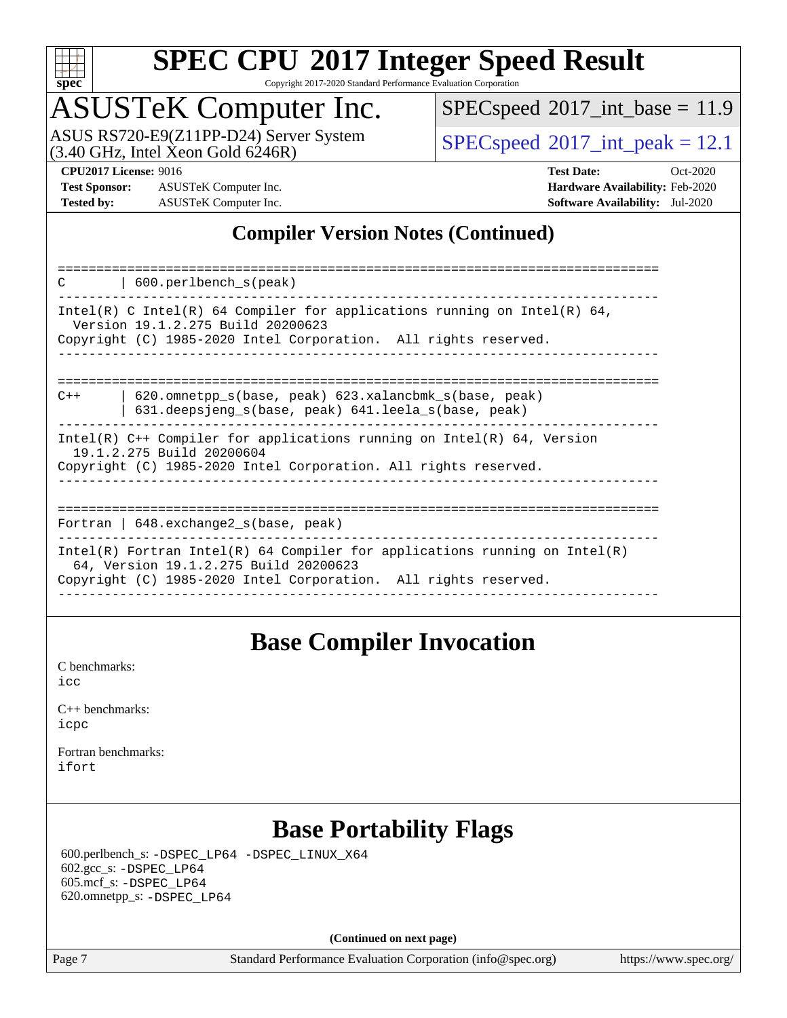

Copyright 2017-2020 Standard Performance Evaluation Corporation

# ASUSTeK Computer Inc.

 $(3.40$  GHz, Intel Xeon Gold  $6246R$ ) ASUS RS720-E9(Z11PP-D24) Server System  $SBEC speed@2017\_int\_peak = 12.1$ 

 $SPECspeed^{\circledcirc}2017\_int\_base = 11.9$  $SPECspeed^{\circledcirc}2017\_int\_base = 11.9$ 

**[Test Sponsor:](http://www.spec.org/auto/cpu2017/Docs/result-fields.html#TestSponsor)** ASUSTeK Computer Inc. **[Hardware Availability:](http://www.spec.org/auto/cpu2017/Docs/result-fields.html#HardwareAvailability)** Feb-2020 **[Tested by:](http://www.spec.org/auto/cpu2017/Docs/result-fields.html#Testedby)** ASUSTeK Computer Inc. **[Software Availability:](http://www.spec.org/auto/cpu2017/Docs/result-fields.html#SoftwareAvailability)** Jul-2020

**[CPU2017 License:](http://www.spec.org/auto/cpu2017/Docs/result-fields.html#CPU2017License)** 9016 **[Test Date:](http://www.spec.org/auto/cpu2017/Docs/result-fields.html#TestDate)** Oct-2020

### **[Compiler Version Notes \(Continued\)](http://www.spec.org/auto/cpu2017/Docs/result-fields.html#CompilerVersionNotes)**

### **[Base Compiler Invocation](http://www.spec.org/auto/cpu2017/Docs/result-fields.html#BaseCompilerInvocation)**

[C benchmarks](http://www.spec.org/auto/cpu2017/Docs/result-fields.html#Cbenchmarks): [icc](http://www.spec.org/cpu2017/results/res2020q4/cpu2017-20201023-24245.flags.html#user_CCbase_intel_icc_66fc1ee009f7361af1fbd72ca7dcefbb700085f36577c54f309893dd4ec40d12360134090235512931783d35fd58c0460139e722d5067c5574d8eaf2b3e37e92)

| $C_{++}$ benchmarks: |  |
|----------------------|--|
| icpc                 |  |

[Fortran benchmarks](http://www.spec.org/auto/cpu2017/Docs/result-fields.html#Fortranbenchmarks): [ifort](http://www.spec.org/cpu2017/results/res2020q4/cpu2017-20201023-24245.flags.html#user_FCbase_intel_ifort_8111460550e3ca792625aed983ce982f94888b8b503583aa7ba2b8303487b4d8a21a13e7191a45c5fd58ff318f48f9492884d4413fa793fd88dd292cad7027ca)

### **[Base Portability Flags](http://www.spec.org/auto/cpu2017/Docs/result-fields.html#BasePortabilityFlags)**

 600.perlbench\_s: [-DSPEC\\_LP64](http://www.spec.org/cpu2017/results/res2020q4/cpu2017-20201023-24245.flags.html#b600.perlbench_s_basePORTABILITY_DSPEC_LP64) [-DSPEC\\_LINUX\\_X64](http://www.spec.org/cpu2017/results/res2020q4/cpu2017-20201023-24245.flags.html#b600.perlbench_s_baseCPORTABILITY_DSPEC_LINUX_X64) 602.gcc\_s: [-DSPEC\\_LP64](http://www.spec.org/cpu2017/results/res2020q4/cpu2017-20201023-24245.flags.html#suite_basePORTABILITY602_gcc_s_DSPEC_LP64) 605.mcf\_s: [-DSPEC\\_LP64](http://www.spec.org/cpu2017/results/res2020q4/cpu2017-20201023-24245.flags.html#suite_basePORTABILITY605_mcf_s_DSPEC_LP64) 620.omnetpp\_s: [-DSPEC\\_LP64](http://www.spec.org/cpu2017/results/res2020q4/cpu2017-20201023-24245.flags.html#suite_basePORTABILITY620_omnetpp_s_DSPEC_LP64)

**(Continued on next page)**

Page 7 Standard Performance Evaluation Corporation [\(info@spec.org\)](mailto:info@spec.org) <https://www.spec.org/>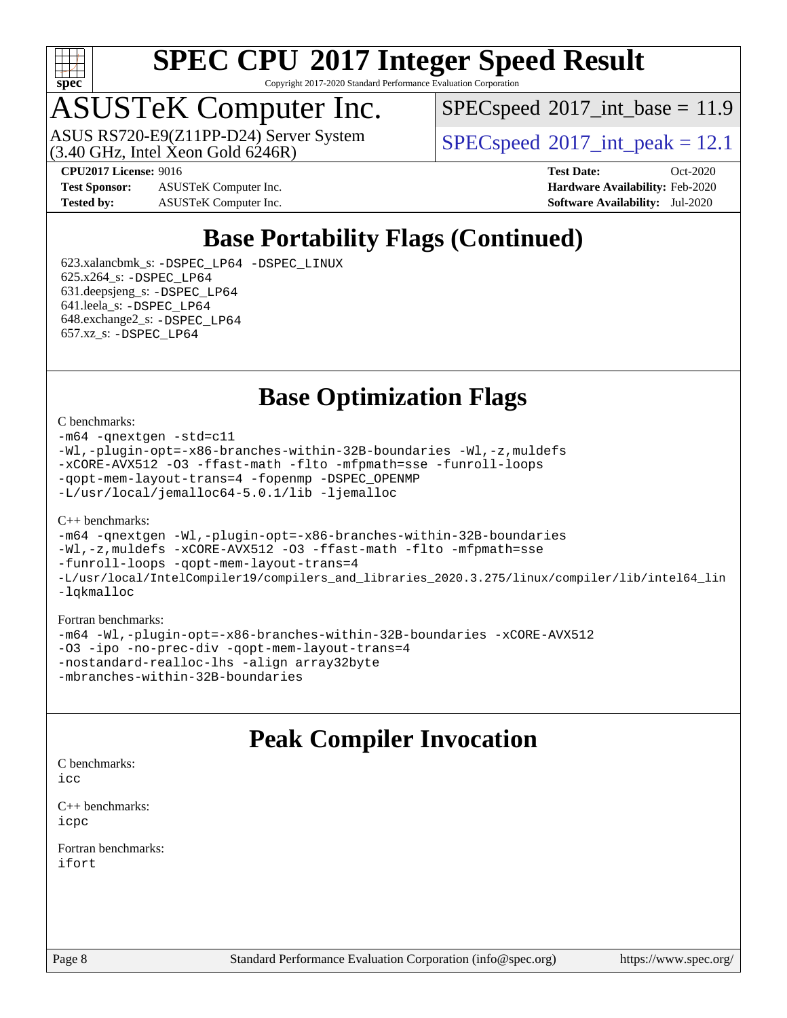

Copyright 2017-2020 Standard Performance Evaluation Corporation

# ASUSTeK Computer Inc.

 $(3.40 \text{ GHz}, \text{Intel } \hat{\text{X}}$ con Gold 6246R) ASUS RS720-E9(Z11PP-D24) Server System  $SPECspeed@2017$  $SPECspeed@2017$  int\_peak = 12.1

 $SPECspeed^{\circ}2017\_int\_base = 11.9$  $SPECspeed^{\circ}2017\_int\_base = 11.9$ 

**[Test Sponsor:](http://www.spec.org/auto/cpu2017/Docs/result-fields.html#TestSponsor)** ASUSTeK Computer Inc. **[Hardware Availability:](http://www.spec.org/auto/cpu2017/Docs/result-fields.html#HardwareAvailability)** Feb-2020 **[Tested by:](http://www.spec.org/auto/cpu2017/Docs/result-fields.html#Testedby)** ASUSTeK Computer Inc. **[Software Availability:](http://www.spec.org/auto/cpu2017/Docs/result-fields.html#SoftwareAvailability)** Jul-2020

**[CPU2017 License:](http://www.spec.org/auto/cpu2017/Docs/result-fields.html#CPU2017License)** 9016 **[Test Date:](http://www.spec.org/auto/cpu2017/Docs/result-fields.html#TestDate)** Oct-2020

### **[Base Portability Flags \(Continued\)](http://www.spec.org/auto/cpu2017/Docs/result-fields.html#BasePortabilityFlags)**

 623.xalancbmk\_s: [-DSPEC\\_LP64](http://www.spec.org/cpu2017/results/res2020q4/cpu2017-20201023-24245.flags.html#suite_basePORTABILITY623_xalancbmk_s_DSPEC_LP64) [-DSPEC\\_LINUX](http://www.spec.org/cpu2017/results/res2020q4/cpu2017-20201023-24245.flags.html#b623.xalancbmk_s_baseCXXPORTABILITY_DSPEC_LINUX) 625.x264\_s: [-DSPEC\\_LP64](http://www.spec.org/cpu2017/results/res2020q4/cpu2017-20201023-24245.flags.html#suite_basePORTABILITY625_x264_s_DSPEC_LP64) 631.deepsjeng\_s: [-DSPEC\\_LP64](http://www.spec.org/cpu2017/results/res2020q4/cpu2017-20201023-24245.flags.html#suite_basePORTABILITY631_deepsjeng_s_DSPEC_LP64) 641.leela\_s: [-DSPEC\\_LP64](http://www.spec.org/cpu2017/results/res2020q4/cpu2017-20201023-24245.flags.html#suite_basePORTABILITY641_leela_s_DSPEC_LP64) 648.exchange2\_s: [-DSPEC\\_LP64](http://www.spec.org/cpu2017/results/res2020q4/cpu2017-20201023-24245.flags.html#suite_basePORTABILITY648_exchange2_s_DSPEC_LP64) 657.xz\_s: [-DSPEC\\_LP64](http://www.spec.org/cpu2017/results/res2020q4/cpu2017-20201023-24245.flags.html#suite_basePORTABILITY657_xz_s_DSPEC_LP64)

**[Base Optimization Flags](http://www.spec.org/auto/cpu2017/Docs/result-fields.html#BaseOptimizationFlags)**

#### [C benchmarks](http://www.spec.org/auto/cpu2017/Docs/result-fields.html#Cbenchmarks):

[-m64](http://www.spec.org/cpu2017/results/res2020q4/cpu2017-20201023-24245.flags.html#user_CCbase_m64-icc) [-qnextgen](http://www.spec.org/cpu2017/results/res2020q4/cpu2017-20201023-24245.flags.html#user_CCbase_f-qnextgen) [-std=c11](http://www.spec.org/cpu2017/results/res2020q4/cpu2017-20201023-24245.flags.html#user_CCbase_std-icc-std_0e1c27790398a4642dfca32ffe6c27b5796f9c2d2676156f2e42c9c44eaad0c049b1cdb667a270c34d979996257aeb8fc440bfb01818dbc9357bd9d174cb8524) [-Wl,-plugin-opt=-x86-branches-within-32B-boundaries](http://www.spec.org/cpu2017/results/res2020q4/cpu2017-20201023-24245.flags.html#user_CCbase_f-x86-branches-within-32B-boundaries_0098b4e4317ae60947b7b728078a624952a08ac37a3c797dfb4ffeb399e0c61a9dd0f2f44ce917e9361fb9076ccb15e7824594512dd315205382d84209e912f3) [-Wl,-z,muldefs](http://www.spec.org/cpu2017/results/res2020q4/cpu2017-20201023-24245.flags.html#user_CCbase_link_force_multiple1_b4cbdb97b34bdee9ceefcfe54f4c8ea74255f0b02a4b23e853cdb0e18eb4525ac79b5a88067c842dd0ee6996c24547a27a4b99331201badda8798ef8a743f577) [-xCORE-AVX512](http://www.spec.org/cpu2017/results/res2020q4/cpu2017-20201023-24245.flags.html#user_CCbase_f-xCORE-AVX512) [-O3](http://www.spec.org/cpu2017/results/res2020q4/cpu2017-20201023-24245.flags.html#user_CCbase_f-O3) [-ffast-math](http://www.spec.org/cpu2017/results/res2020q4/cpu2017-20201023-24245.flags.html#user_CCbase_f-ffast-math) [-flto](http://www.spec.org/cpu2017/results/res2020q4/cpu2017-20201023-24245.flags.html#user_CCbase_f-flto) [-mfpmath=sse](http://www.spec.org/cpu2017/results/res2020q4/cpu2017-20201023-24245.flags.html#user_CCbase_f-mfpmath_70eb8fac26bde974f8ab713bc9086c5621c0b8d2f6c86f38af0bd7062540daf19db5f3a066d8c6684be05d84c9b6322eb3b5be6619d967835195b93d6c02afa1) [-funroll-loops](http://www.spec.org/cpu2017/results/res2020q4/cpu2017-20201023-24245.flags.html#user_CCbase_f-funroll-loops) [-qopt-mem-layout-trans=4](http://www.spec.org/cpu2017/results/res2020q4/cpu2017-20201023-24245.flags.html#user_CCbase_f-qopt-mem-layout-trans_fa39e755916c150a61361b7846f310bcdf6f04e385ef281cadf3647acec3f0ae266d1a1d22d972a7087a248fd4e6ca390a3634700869573d231a252c784941a8) [-fopenmp](http://www.spec.org/cpu2017/results/res2020q4/cpu2017-20201023-24245.flags.html#user_CCbase_fopenmp_5aa2e47ce4f2ef030ba5d12d5a7a9c4e57167333d78243fcadb80b48d5abb78ff19333f8478e0b2a41e63049eb285965c145ccab7b93db7d0c4d59e4dc6f5591) [-DSPEC\\_OPENMP](http://www.spec.org/cpu2017/results/res2020q4/cpu2017-20201023-24245.flags.html#suite_CCbase_DSPEC_OPENMP) [-L/usr/local/jemalloc64-5.0.1/lib](http://www.spec.org/cpu2017/results/res2020q4/cpu2017-20201023-24245.flags.html#user_CCbase_jemalloc_link_path64_1_cc289568b1a6c0fd3b62c91b824c27fcb5af5e8098e6ad028160d21144ef1b8aef3170d2acf0bee98a8da324cfe4f67d0a3d0c4cc4673d993d694dc2a0df248b) [-ljemalloc](http://www.spec.org/cpu2017/results/res2020q4/cpu2017-20201023-24245.flags.html#user_CCbase_jemalloc_link_lib_d1249b907c500fa1c0672f44f562e3d0f79738ae9e3c4a9c376d49f265a04b9c99b167ecedbf6711b3085be911c67ff61f150a17b3472be731631ba4d0471706)

#### [C++ benchmarks:](http://www.spec.org/auto/cpu2017/Docs/result-fields.html#CXXbenchmarks)

[-m64](http://www.spec.org/cpu2017/results/res2020q4/cpu2017-20201023-24245.flags.html#user_CXXbase_m64-icc) [-qnextgen](http://www.spec.org/cpu2017/results/res2020q4/cpu2017-20201023-24245.flags.html#user_CXXbase_f-qnextgen) [-Wl,-plugin-opt=-x86-branches-within-32B-boundaries](http://www.spec.org/cpu2017/results/res2020q4/cpu2017-20201023-24245.flags.html#user_CXXbase_f-x86-branches-within-32B-boundaries_0098b4e4317ae60947b7b728078a624952a08ac37a3c797dfb4ffeb399e0c61a9dd0f2f44ce917e9361fb9076ccb15e7824594512dd315205382d84209e912f3) [-Wl,-z,muldefs](http://www.spec.org/cpu2017/results/res2020q4/cpu2017-20201023-24245.flags.html#user_CXXbase_link_force_multiple1_b4cbdb97b34bdee9ceefcfe54f4c8ea74255f0b02a4b23e853cdb0e18eb4525ac79b5a88067c842dd0ee6996c24547a27a4b99331201badda8798ef8a743f577) [-xCORE-AVX512](http://www.spec.org/cpu2017/results/res2020q4/cpu2017-20201023-24245.flags.html#user_CXXbase_f-xCORE-AVX512) [-O3](http://www.spec.org/cpu2017/results/res2020q4/cpu2017-20201023-24245.flags.html#user_CXXbase_f-O3) [-ffast-math](http://www.spec.org/cpu2017/results/res2020q4/cpu2017-20201023-24245.flags.html#user_CXXbase_f-ffast-math) [-flto](http://www.spec.org/cpu2017/results/res2020q4/cpu2017-20201023-24245.flags.html#user_CXXbase_f-flto) [-mfpmath=sse](http://www.spec.org/cpu2017/results/res2020q4/cpu2017-20201023-24245.flags.html#user_CXXbase_f-mfpmath_70eb8fac26bde974f8ab713bc9086c5621c0b8d2f6c86f38af0bd7062540daf19db5f3a066d8c6684be05d84c9b6322eb3b5be6619d967835195b93d6c02afa1) [-funroll-loops](http://www.spec.org/cpu2017/results/res2020q4/cpu2017-20201023-24245.flags.html#user_CXXbase_f-funroll-loops) [-qopt-mem-layout-trans=4](http://www.spec.org/cpu2017/results/res2020q4/cpu2017-20201023-24245.flags.html#user_CXXbase_f-qopt-mem-layout-trans_fa39e755916c150a61361b7846f310bcdf6f04e385ef281cadf3647acec3f0ae266d1a1d22d972a7087a248fd4e6ca390a3634700869573d231a252c784941a8) [-L/usr/local/IntelCompiler19/compilers\\_and\\_libraries\\_2020.3.275/linux/compiler/lib/intel64\\_lin](http://www.spec.org/cpu2017/results/res2020q4/cpu2017-20201023-24245.flags.html#user_CXXbase_linkpath_6eb3b1b8be403820338b5b82e7a1c217a861a8962ac718a6253be1483b50620487664a39a847caf560d84a6b8bab7cca33d9f414525a12ede1e9473db34a3d08) [-lqkmalloc](http://www.spec.org/cpu2017/results/res2020q4/cpu2017-20201023-24245.flags.html#user_CXXbase_qkmalloc_link_lib_79a818439969f771c6bc311cfd333c00fc099dad35c030f5aab9dda831713d2015205805422f83de8875488a2991c0a156aaa600e1f9138f8fc37004abc96dc5)

#### [Fortran benchmarks:](http://www.spec.org/auto/cpu2017/Docs/result-fields.html#Fortranbenchmarks)

[-m64](http://www.spec.org/cpu2017/results/res2020q4/cpu2017-20201023-24245.flags.html#user_FCbase_m64-icc) [-Wl,-plugin-opt=-x86-branches-within-32B-boundaries](http://www.spec.org/cpu2017/results/res2020q4/cpu2017-20201023-24245.flags.html#user_FCbase_f-x86-branches-within-32B-boundaries_0098b4e4317ae60947b7b728078a624952a08ac37a3c797dfb4ffeb399e0c61a9dd0f2f44ce917e9361fb9076ccb15e7824594512dd315205382d84209e912f3) [-xCORE-AVX512](http://www.spec.org/cpu2017/results/res2020q4/cpu2017-20201023-24245.flags.html#user_FCbase_f-xCORE-AVX512) [-O3](http://www.spec.org/cpu2017/results/res2020q4/cpu2017-20201023-24245.flags.html#user_FCbase_f-O3) [-ipo](http://www.spec.org/cpu2017/results/res2020q4/cpu2017-20201023-24245.flags.html#user_FCbase_f-ipo) [-no-prec-div](http://www.spec.org/cpu2017/results/res2020q4/cpu2017-20201023-24245.flags.html#user_FCbase_f-no-prec-div) [-qopt-mem-layout-trans=4](http://www.spec.org/cpu2017/results/res2020q4/cpu2017-20201023-24245.flags.html#user_FCbase_f-qopt-mem-layout-trans_fa39e755916c150a61361b7846f310bcdf6f04e385ef281cadf3647acec3f0ae266d1a1d22d972a7087a248fd4e6ca390a3634700869573d231a252c784941a8) [-nostandard-realloc-lhs](http://www.spec.org/cpu2017/results/res2020q4/cpu2017-20201023-24245.flags.html#user_FCbase_f_2003_std_realloc_82b4557e90729c0f113870c07e44d33d6f5a304b4f63d4c15d2d0f1fab99f5daaed73bdb9275d9ae411527f28b936061aa8b9c8f2d63842963b95c9dd6426b8a) [-align array32byte](http://www.spec.org/cpu2017/results/res2020q4/cpu2017-20201023-24245.flags.html#user_FCbase_align_array32byte_b982fe038af199962ba9a80c053b8342c548c85b40b8e86eb3cc33dee0d7986a4af373ac2d51c3f7cf710a18d62fdce2948f201cd044323541f22fc0fffc51b6) [-mbranches-within-32B-boundaries](http://www.spec.org/cpu2017/results/res2020q4/cpu2017-20201023-24245.flags.html#user_FCbase_f-mbranches-within-32B-boundaries)

### **[Peak Compiler Invocation](http://www.spec.org/auto/cpu2017/Docs/result-fields.html#PeakCompilerInvocation)**

[C benchmarks](http://www.spec.org/auto/cpu2017/Docs/result-fields.html#Cbenchmarks):  $i$ cc

[C++ benchmarks:](http://www.spec.org/auto/cpu2017/Docs/result-fields.html#CXXbenchmarks) [icpc](http://www.spec.org/cpu2017/results/res2020q4/cpu2017-20201023-24245.flags.html#user_CXXpeak_intel_icpc_c510b6838c7f56d33e37e94d029a35b4a7bccf4766a728ee175e80a419847e808290a9b78be685c44ab727ea267ec2f070ec5dc83b407c0218cded6866a35d07)

[Fortran benchmarks](http://www.spec.org/auto/cpu2017/Docs/result-fields.html#Fortranbenchmarks): [ifort](http://www.spec.org/cpu2017/results/res2020q4/cpu2017-20201023-24245.flags.html#user_FCpeak_intel_ifort_8111460550e3ca792625aed983ce982f94888b8b503583aa7ba2b8303487b4d8a21a13e7191a45c5fd58ff318f48f9492884d4413fa793fd88dd292cad7027ca)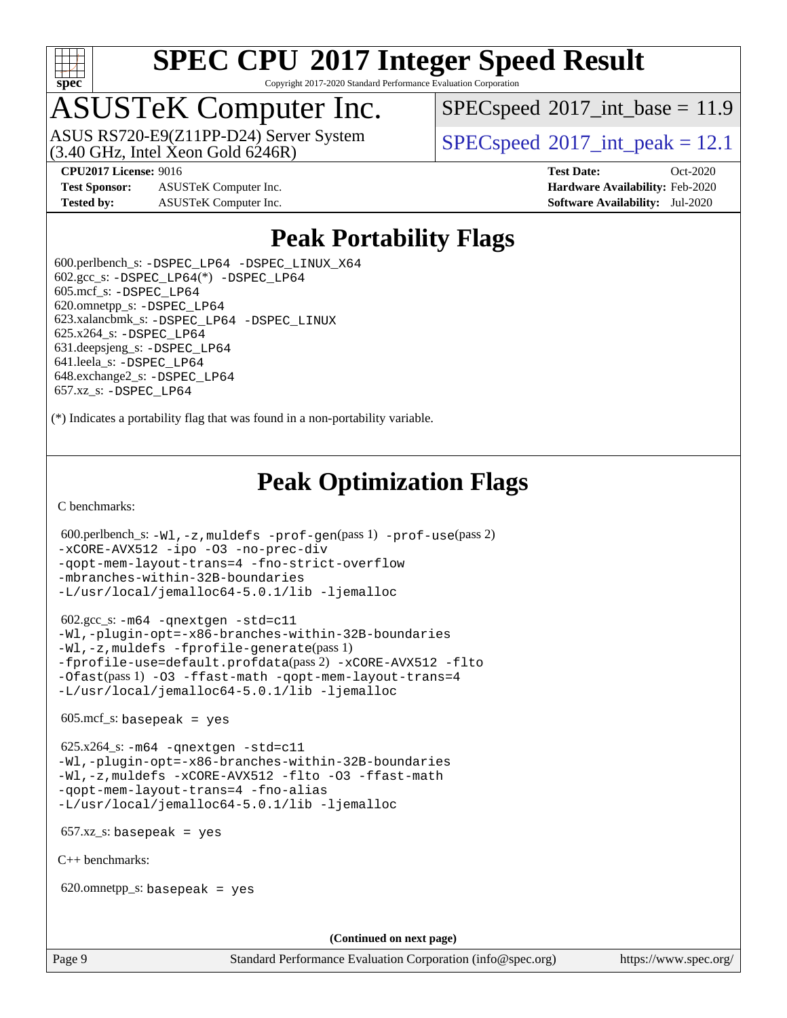

Copyright 2017-2020 Standard Performance Evaluation Corporation

# ASUSTeK Computer Inc.

ASUS RS720-E9(Z11PP-D24) Server System<br>(3.40 GHz, Intel Xeon Gold 6246R)

 $SPECspeed^{\circ}2017\_int\_base = 11.9$  $SPECspeed^{\circ}2017\_int\_base = 11.9$ 

 $SPECspeed^{\circ}2017\_int\_peak = 12.1$  $SPECspeed^{\circ}2017\_int\_peak = 12.1$ 

**[Test Sponsor:](http://www.spec.org/auto/cpu2017/Docs/result-fields.html#TestSponsor)** ASUSTeK Computer Inc. **[Hardware Availability:](http://www.spec.org/auto/cpu2017/Docs/result-fields.html#HardwareAvailability)** Feb-2020 **[Tested by:](http://www.spec.org/auto/cpu2017/Docs/result-fields.html#Testedby)** ASUSTeK Computer Inc. **[Software Availability:](http://www.spec.org/auto/cpu2017/Docs/result-fields.html#SoftwareAvailability)** Jul-2020

**[CPU2017 License:](http://www.spec.org/auto/cpu2017/Docs/result-fields.html#CPU2017License)** 9016 **[Test Date:](http://www.spec.org/auto/cpu2017/Docs/result-fields.html#TestDate)** Oct-2020

### **[Peak Portability Flags](http://www.spec.org/auto/cpu2017/Docs/result-fields.html#PeakPortabilityFlags)**

 600.perlbench\_s: [-DSPEC\\_LP64](http://www.spec.org/cpu2017/results/res2020q4/cpu2017-20201023-24245.flags.html#b600.perlbench_s_peakPORTABILITY_DSPEC_LP64) [-DSPEC\\_LINUX\\_X64](http://www.spec.org/cpu2017/results/res2020q4/cpu2017-20201023-24245.flags.html#b600.perlbench_s_peakCPORTABILITY_DSPEC_LINUX_X64)  $602.\text{gcc}\_\text{s}: -\text{DSPEC}\_\text{LP64}(*) -\text{DSPEC}\_\text{LP64}$  605.mcf\_s: [-DSPEC\\_LP64](http://www.spec.org/cpu2017/results/res2020q4/cpu2017-20201023-24245.flags.html#suite_peakPORTABILITY605_mcf_s_DSPEC_LP64) 620.omnetpp\_s: [-DSPEC\\_LP64](http://www.spec.org/cpu2017/results/res2020q4/cpu2017-20201023-24245.flags.html#suite_peakPORTABILITY620_omnetpp_s_DSPEC_LP64) 623.xalancbmk\_s: [-DSPEC\\_LP64](http://www.spec.org/cpu2017/results/res2020q4/cpu2017-20201023-24245.flags.html#suite_peakPORTABILITY623_xalancbmk_s_DSPEC_LP64) [-DSPEC\\_LINUX](http://www.spec.org/cpu2017/results/res2020q4/cpu2017-20201023-24245.flags.html#b623.xalancbmk_s_peakCXXPORTABILITY_DSPEC_LINUX) 625.x264\_s: [-DSPEC\\_LP64](http://www.spec.org/cpu2017/results/res2020q4/cpu2017-20201023-24245.flags.html#suite_peakPORTABILITY625_x264_s_DSPEC_LP64) 631.deepsjeng\_s: [-DSPEC\\_LP64](http://www.spec.org/cpu2017/results/res2020q4/cpu2017-20201023-24245.flags.html#suite_peakPORTABILITY631_deepsjeng_s_DSPEC_LP64) 641.leela\_s: [-DSPEC\\_LP64](http://www.spec.org/cpu2017/results/res2020q4/cpu2017-20201023-24245.flags.html#suite_peakPORTABILITY641_leela_s_DSPEC_LP64) 648.exchange2\_s: [-DSPEC\\_LP64](http://www.spec.org/cpu2017/results/res2020q4/cpu2017-20201023-24245.flags.html#suite_peakPORTABILITY648_exchange2_s_DSPEC_LP64) 657.xz\_s: [-DSPEC\\_LP64](http://www.spec.org/cpu2017/results/res2020q4/cpu2017-20201023-24245.flags.html#suite_peakPORTABILITY657_xz_s_DSPEC_LP64)

(\*) Indicates a portability flag that was found in a non-portability variable.

### **[Peak Optimization Flags](http://www.spec.org/auto/cpu2017/Docs/result-fields.html#PeakOptimizationFlags)**

[C benchmarks](http://www.spec.org/auto/cpu2017/Docs/result-fields.html#Cbenchmarks):

```
 600.perlbench_s: -Wl,-z,muldefs -prof-gen(pass 1) -prof-use(pass 2)
-xCORE-AVX512 -ipo -O3 -no-prec-div
-qopt-mem-layout-trans=4 -fno-strict-overflow
-mbranches-within-32B-boundaries
-L/usr/local/jemalloc64-5.0.1/lib -ljemalloc
 602.gcc_s: -m64 -qnextgen -std=c11
-Wl,-plugin-opt=-x86-branches-within-32B-boundaries
-Wl,-z,muldefs -fprofile-generate(pass 1)
-fprofile-use=default.profdata(pass 2) -xCORE-AVX512 -flto
-Ofast(pass 1) -O3 -ffast-math -qopt-mem-layout-trans=4
```
[-L/usr/local/jemalloc64-5.0.1/lib](http://www.spec.org/cpu2017/results/res2020q4/cpu2017-20201023-24245.flags.html#user_peakEXTRA_LIBS602_gcc_s_jemalloc_link_path64_1_cc289568b1a6c0fd3b62c91b824c27fcb5af5e8098e6ad028160d21144ef1b8aef3170d2acf0bee98a8da324cfe4f67d0a3d0c4cc4673d993d694dc2a0df248b) [-ljemalloc](http://www.spec.org/cpu2017/results/res2020q4/cpu2017-20201023-24245.flags.html#user_peakEXTRA_LIBS602_gcc_s_jemalloc_link_lib_d1249b907c500fa1c0672f44f562e3d0f79738ae9e3c4a9c376d49f265a04b9c99b167ecedbf6711b3085be911c67ff61f150a17b3472be731631ba4d0471706)

 $605 \text{.mcf}\text{.s.}$  basepeak = yes

```
 625.x264_s: -m64 -qnextgen -std=c11
-Wl,-plugin-opt=-x86-branches-within-32B-boundaries
-Wl,-z,muldefs -xCORE-AVX512 -flto -O3 -ffast-math
-qopt-mem-layout-trans=4 -fno-alias
-L/usr/local/jemalloc64-5.0.1/lib -ljemalloc
```
657.xz\_s: basepeak = yes

[C++ benchmarks:](http://www.spec.org/auto/cpu2017/Docs/result-fields.html#CXXbenchmarks)

620.omnetpp\_s: basepeak = yes

**(Continued on next page)**